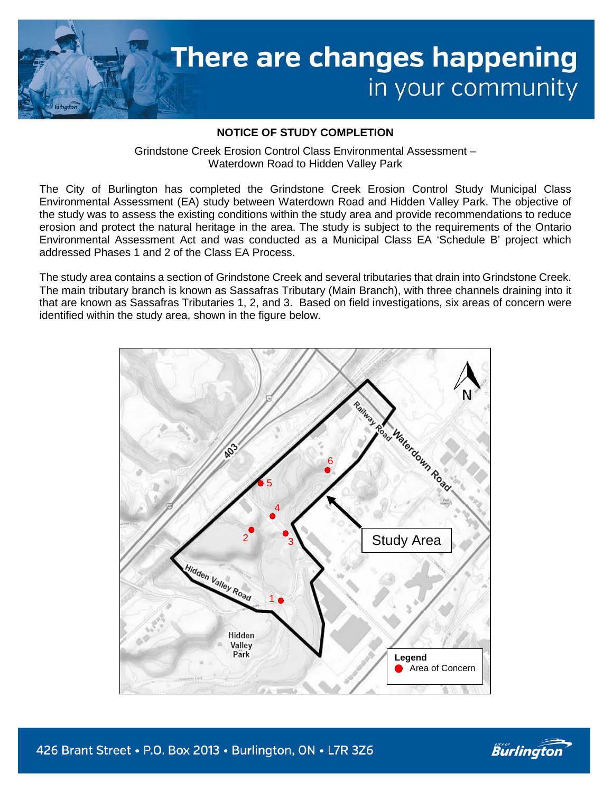

## **NOTICE OF STUDY COMPLETION**

Grindstone Creek Erosion Control Class Environmental Assessment – Waterdown Road to Hidden Valley Park

The City of Burlington has completed the Grindstone Creek Erosion Control Study Municipal Class Environmental Assessment (EA) study between Waterdown Road and Hidden Valley Park. The objective of the study was to assess the existing conditions within the study area and provide recommendations to reduce erosion and protect the natural heritage in the area. The study is subject to the requirements of the Ontario Environmental Assessment Act and was conducted as a Municipal Class EA 'Schedule B' project which addressed Phases 1 and 2 of the Class EA Process.

The study area contains a section of Grindstone Creek and several tributaries that drain into Grindstone Creek. The main tributary branch is known as Sassafras Tributary (Main Branch), with three channels draining into it that are known as Sassafras Tributaries 1, 2, and 3. Based on field investigations, six areas of concern were identified within the study area, shown in the figure below.